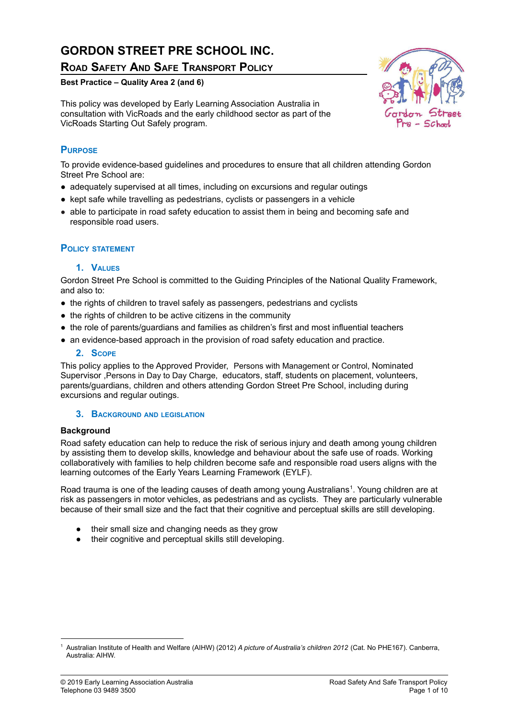# **GORDON STREET PRE SCHOOL INC.**

# **ROAD SAFETY AND SAFE TRANSPORT POLICY**

### **Best Practice – Quality Area 2 (and 6)**

This policy was developed by Early Learning Association Australia in consultation with VicRoads and the early childhood sector as part of the VicRoads Starting Out Safely program.



To provide evidence-based guidelines and procedures to ensure that all children attending Gordon Street Pre School are:

- adequately supervised at all times, including on excursions and regular outings
- kept safe while travelling as pedestrians, cyclists or passengers in a vehicle
- able to participate in road safety education to assist them in being and becoming safe and responsible road users.

## **POLICY STATEMENT**

### **1. VALUES**

Gordon Street Pre School is committed to the Guiding Principles of the National Quality Framework, and also to:

- the rights of children to travel safely as passengers, pedestrians and cyclists
- the rights of children to be active citizens in the community
- the role of parents/quardians and families as children's first and most influential teachers
- an evidence-based approach in the provision of road safety education and practice.

#### **2. SCOPE**

This policy applies to the Approved Provider, Persons with Management or Control, Nominated Supervisor ,Persons in Day to Day Charge, educators, staff, students on placement, volunteers, parents/guardians, children and others attending Gordon Street Pre School, including during excursions and regular outings.

#### **3. BACKGROUND AND LEGISLATION**

#### **Background**

Road safety education can help to reduce the risk of serious injury and death among young children by assisting them to develop skills, knowledge and behaviour about the safe use of roads. Working collaboratively with families to help children become safe and responsible road users aligns with the learning outcomes of the Early Years Learning Framework (EYLF).

Road trauma is one of the leading causes of death among young Australians 1 . Young children are at risk as passengers in motor vehicles, as pedestrians and as cyclists. They are particularly vulnerable because of their small size and the fact that their cognitive and perceptual skills are still developing.

- their small size and changing needs as they grow
- their cognitive and perceptual skills still developing.



<sup>1</sup> Australian Institute of Health and Welfare (AIHW) (2012) *A picture of Australia's children 2012* (Cat. No PHE167). Canberra, Australia: AIHW.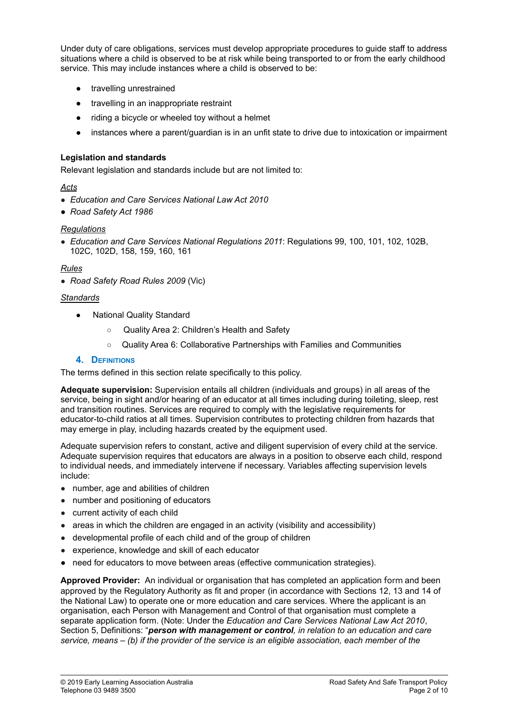Under duty of care obligations, services must develop appropriate procedures to guide staff to address situations where a child is observed to be at risk while being transported to or from the early childhood service. This may include instances where a child is observed to be:

- travelling unrestrained
- travelling in an inappropriate restraint
- riding a bicycle or wheeled toy without a helmet
- instances where a parent/guardian is in an unfit state to drive due to intoxication or impairment

#### **Legislation and standards**

Relevant legislation and standards include but are not limited to:

#### *Acts*

- *Education and Care Services National Law Act 2010*
- *● Road Safety Act 1986*

### *Regulations*

● *Education and Care Services National Regulations 2011*: Regulations 99, 100, 101, 102, 102B, 102C, 102D, 158, 159, 160, 161

### *Rules*

● *Road Safety Road Rules 2009* (Vic)

### *Standards*

- National Quality Standard
	- Quality Area 2: Children's Health and Safety
	- Quality Area 6: Collaborative Partnerships with Families and Communities

#### **4. DEFINITIONS**

The terms defined in this section relate specifically to this policy.

**Adequate supervision:** Supervision entails all children (individuals and groups) in all areas of the service, being in sight and/or hearing of an educator at all times including during toileting, sleep, rest and transition routines. Services are required to comply with the legislative requirements for educator-to-child ratios at all times. Supervision contributes to protecting children from hazards that may emerge in play, including hazards created by the equipment used.

Adequate supervision refers to constant, active and diligent supervision of every child at the service. Adequate supervision requires that educators are always in a position to observe each child, respond to individual needs, and immediately intervene if necessary. Variables affecting supervision levels include:

- number, age and abilities of children
- number and positioning of educators
- current activity of each child
- $\bullet$  areas in which the children are engaged in an activity (visibility and accessibility)
- developmental profile of each child and of the group of children
- experience, knowledge and skill of each educator
- **●** need for educators to move between areas (effective communication strategies).

**Approved Provider:** An individual or organisation that has completed an application form and been approved by the Regulatory Authority as fit and proper (in accordance with Sections 12, 13 and 14 of the National Law) to operate one or more education and care services. Where the applicant is an organisation, each Person with Management and Control of that organisation must complete a separate application form. (Note: Under the *Education and Care Services National Law Act 2010*, Section 5, Definitions: "*person with management or control, in relation to an education and care service, means – (b) if the provider of the service is an eligible association, each member of the*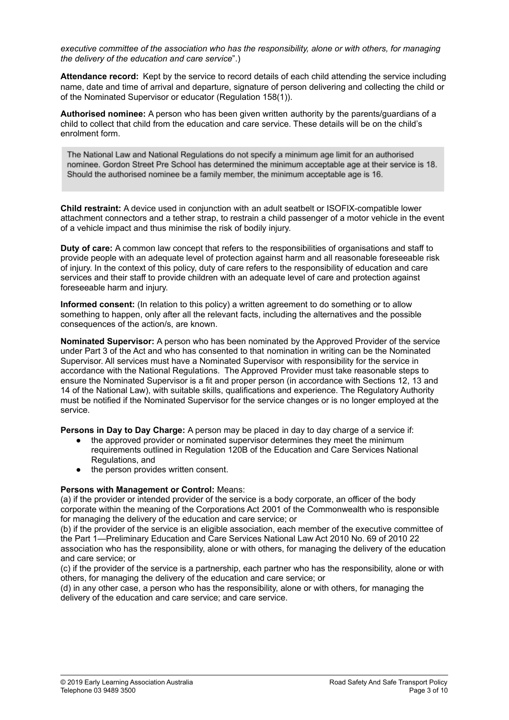*executive committee of the association who has the responsibility, alone or with others, for managing the delivery of the education and care service*".)

**Attendance record:** Kept by the service to record details of each child attending the service including name, date and time of arrival and departure, signature of person delivering and collecting the child or of the Nominated Supervisor or educator (Regulation 158(1)).

**Authorised nominee:** A person who has been given written authority by the parents/guardians of a child to collect that child from the education and care service. These details will be on the child's enrolment form.

The National Law and National Regulations do not specify a minimum age limit for an authorised nominee. Gordon Street Pre School has determined the minimum acceptable age at their service is 18. Should the authorised nominee be a family member, the minimum acceptable age is 16.

**Child restraint:** A device used in conjunction with an adult seatbelt or ISOFIX-compatible lower attachment connectors and a tether strap, to restrain a child passenger of a motor vehicle in the event of a vehicle impact and thus minimise the risk of bodily injury.

**Duty of care:** A common law concept that refers to the responsibilities of organisations and staff to provide people with an adequate level of protection against harm and all reasonable foreseeable risk of injury. In the context of this policy, duty of care refers to the responsibility of education and care services and their staff to provide children with an adequate level of care and protection against foreseeable harm and injury.

**Informed consent:** (In relation to this policy) a written agreement to do something or to allow something to happen, only after all the relevant facts, including the alternatives and the possible consequences of the action/s, are known.

**Nominated Supervisor:** A person who has been nominated by the Approved Provider of the service under Part 3 of the Act and who has consented to that nomination in writing can be the Nominated Supervisor. All services must have a Nominated Supervisor with responsibility for the service in accordance with the National Regulations. The Approved Provider must take reasonable steps to ensure the Nominated Supervisor is a fit and proper person (in accordance with Sections 12, 13 and 14 of the National Law), with suitable skills, qualifications and experience. The Regulatory Authority must be notified if the Nominated Supervisor for the service changes or is no longer employed at the service.

**Persons in Day to Day Charge:** A person may be placed in day to day charge of a service if:

- the approved provider or nominated supervisor determines they meet the minimum requirements outlined in Regulation 120B of the Education and Care Services National Regulations, and
- the person provides written consent.

#### **Persons with Management or Control:** Means:

(a) if the provider or intended provider of the service is a body corporate, an officer of the body corporate within the meaning of the Corporations Act 2001 of the Commonwealth who is responsible for managing the delivery of the education and care service; or

(b) if the provider of the service is an eligible association, each member of the executive committee of the Part 1—Preliminary Education and Care Services National Law Act 2010 No. 69 of 2010 22 association who has the responsibility, alone or with others, for managing the delivery of the education and care service; or

(c) if the provider of the service is a partnership, each partner who has the responsibility, alone or with others, for managing the delivery of the education and care service; or

(d) in any other case, a person who has the responsibility, alone or with others, for managing the delivery of the education and care service; and care service.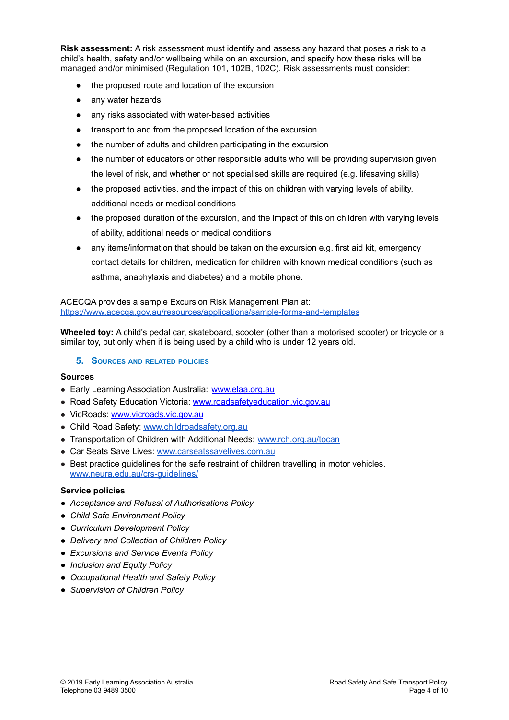**Risk assessment:** A risk assessment must identify and assess any hazard that poses a risk to a child's health, safety and/or wellbeing while on an excursion, and specify how these risks will be managed and/or minimised (Regulation 101, 102B, 102C). Risk assessments must consider:

- the proposed route and location of the excursion
- any water hazards
- any risks associated with water-based activities
- transport to and from the proposed location of the excursion
- the number of adults and children participating in the excursion
- the number of educators or other responsible adults who will be providing supervision given the level of risk, and whether or not specialised skills are required (e.g. lifesaving skills)
- the proposed activities, and the impact of this on children with varying levels of ability, additional needs or medical conditions
- the proposed duration of the excursion, and the impact of this on children with varying levels of ability, additional needs or medical conditions
- any items/information that should be taken on the excursion e.g. first aid kit, emergency contact details for children, medication for children with known medical conditions (such as asthma, anaphylaxis and diabetes) and a mobile phone.

ACECQA provides a sample Excursion Risk Management Plan at: <https://www.acecqa.gov.au/resources/applications/sample-forms-and-templates>

**Wheeled toy:** A child's pedal car, skateboard, scooter (other than a motorised scooter) or tricycle or a similar toy, but only when it is being used by a child who is under 12 years old.

#### **5. SOURCES AND RELATED POLICIES**

#### **Sources**

- Early Learning Association Australia: [www.elaa.org.au](http://www.elaa.org.au)
- Road Safety Education Victoria: [www.roadsafetyeducation.vic.gov.au](http://www.roadsafetyeducation.vic.gov.au)
- VicRoads: [www.vicroads.vic.gov.au](http://www.vicroads.vic.gov.au)
- Child Road Safety[:](http://www.childroadsafety.org.au/) [www.childroadsafety.org.au](http://www.childroadsafety.org.au)
- Transportation of Children with Additional Needs: [www.rch.org.au/tocan](http://www.rch.org.au/tocan)
- Car Seats Save Lives: [www.carseatssavelives.com.au](http://www.carseatssavelives.com.au)
- Best practice quidelines for the safe restraint of children travelling in motor vehicles. [www.neura.edu.au/crs-guidelines/](http://www.neura.edu.au/crs-guidelines/)

#### **Service policies**

- *● Acceptance and Refusal of Authorisations Policy*
- *● Child Safe Environment Policy*
- *● Curriculum Development Policy*
- *● Delivery and Collection of Children Policy*
- *● Excursions and Service Events Policy*
- *● Inclusion and Equity Policy*
- *● Occupational Health and Safety Policy*
- *● Supervision of Children Policy*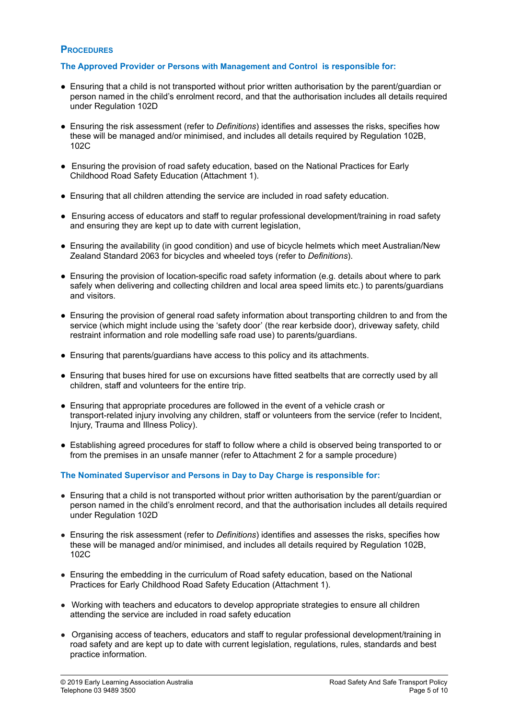### **PROCEDURES**

#### **The Approved Provider or Persons with Management and Control is responsible for:**

- Ensuring that a child is not transported without prior written authorisation by the parent/guardian or person named in the child's enrolment record, and that the authorisation includes all details required under Regulation 102D
- Ensuring the risk assessment (refer to *Definitions*) identifies and assesses the risks, specifies how these will be managed and/or minimised, and includes all details required by Regulation 102B, 102C
- Ensuring the provision of road safety education, based on the National Practices for Early Childhood Road Safety Education (Attachment 1).
- Ensuring that all children attending the service are included in road safety education.
- Ensuring access of educators and staff to regular professional development/training in road safety and ensuring they are kept up to date with current legislation,
- Ensuring the availability (in good condition) and use of bicycle helmets which meet Australian/New Zealand Standard 2063 for bicycles and wheeled toys (refer to *Definitions*).
- Ensuring the provision of location-specific road safety information (e.g. details about where to park safely when delivering and collecting children and local area speed limits etc.) to parents/guardians and visitors.
- Ensuring the provision of general road safety information about transporting children to and from the service (which might include using the 'safety door' (the rear kerbside door), driveway safety, child restraint information and role modelling safe road use) to parents/guardians.
- Ensuring that parents/guardians have access to this policy and its attachments.
- Ensuring that buses hired for use on excursions have fitted seatbelts that are correctly used by all children, staff and volunteers for the entire trip.
- Ensuring that appropriate procedures are followed in the event of a vehicle crash or transport-related injury involving any children, staff or volunteers from the service (refer to Incident, Injury, Trauma and Illness Policy).
- Establishing agreed procedures for staff to follow where a child is observed being transported to or from the premises in an unsafe manner (refer to Attachment 2 for a sample procedure)

#### **The Nominated Supervisor and Persons in Day to Day Charge is responsible for:**

- Ensuring that a child is not transported without prior written authorisation by the parent/guardian or person named in the child's enrolment record, and that the authorisation includes all details required under Regulation 102D
- Ensuring the risk assessment (refer to *Definitions*) identifies and assesses the risks, specifies how these will be managed and/or minimised, and includes all details required by Regulation 102B, 102C
- Ensuring the embedding in the curriculum of Road safety education, based on the National Practices for Early Childhood Road Safety Education (Attachment 1).
- Working with teachers and educators to develop appropriate strategies to ensure all children attending the service are included in road safety education
- Organising access of teachers, educators and staff to regular professional development/training in road safety and are kept up to date with current legislation, regulations, rules, standards and best practice information.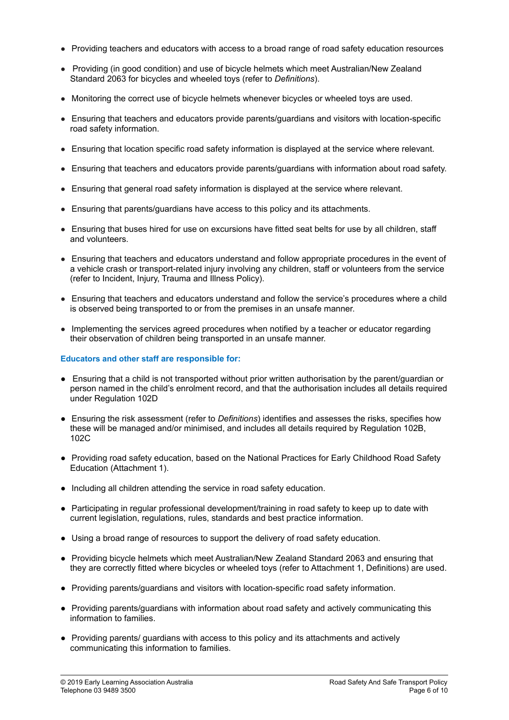- Providing teachers and educators with access to a broad range of road safety education resources
- Providing (in good condition) and use of bicycle helmets which meet Australian/New Zealand Standard 2063 for bicycles and wheeled toys (refer to *Definitions*).
- Monitoring the correct use of bicycle helmets whenever bicycles or wheeled toys are used.
- Ensuring that teachers and educators provide parents/guardians and visitors with location-specific road safety information.
- Ensuring that location specific road safety information is displayed at the service where relevant.
- Ensuring that teachers and educators provide parents/guardians with information about road safety.
- Ensuring that general road safety information is displayed at the service where relevant.
- Ensuring that parents/guardians have access to this policy and its attachments.
- Ensuring that buses hired for use on excursions have fitted seat belts for use by all children, staff and volunteers.
- Ensuring that teachers and educators understand and follow appropriate procedures in the event of a vehicle crash or transport-related injury involving any children, staff or volunteers from the service (refer to Incident, Injury, Trauma and Illness Policy).
- Ensuring that teachers and educators understand and follow the service's procedures where a child is observed being transported to or from the premises in an unsafe manner.
- Implementing the services agreed procedures when notified by a teacher or educator regarding their observation of children being transported in an unsafe manner.

### **Educators and other staff are responsible for:**

- Ensuring that a child is not transported without prior written authorisation by the parent/guardian or person named in the child's enrolment record, and that the authorisation includes all details required under Regulation 102D
- Ensuring the risk assessment (refer to *Definitions*) identifies and assesses the risks, specifies how these will be managed and/or minimised, and includes all details required by Regulation 102B, 102C
- Providing road safety education, based on the National Practices for Early Childhood Road Safety Education (Attachment 1).
- Including all children attending the service in road safety education.
- Participating in regular professional development/training in road safety to keep up to date with current legislation, regulations, rules, standards and best practice information.
- Using a broad range of resources to support the delivery of road safety education.
- Providing bicycle helmets which meet Australian/New Zealand Standard 2063 and ensuring that they are correctly fitted where bicycles or wheeled toys (refer to Attachment 1, Definitions) are used.
- Providing parents/guardians and visitors with location-specific road safety information.
- Providing parents/guardians with information about road safety and actively communicating this information to families.
- Providing parents/ guardians with access to this policy and its attachments and actively communicating this information to families.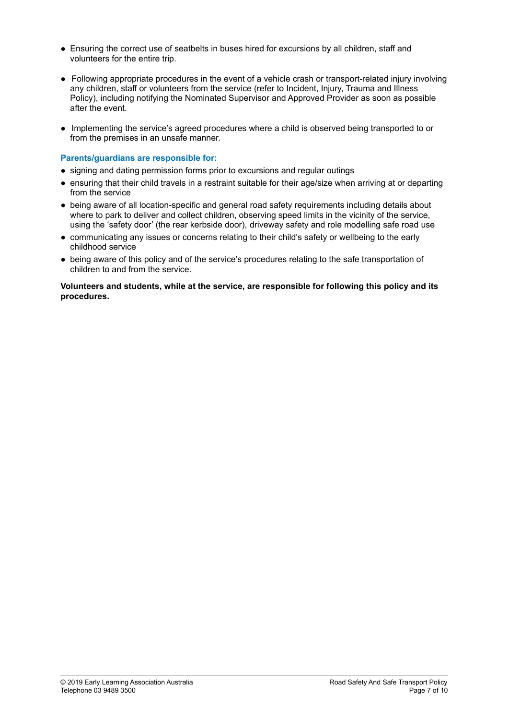- Ensuring the correct use of seatbelts in buses hired for excursions by all children, staff and volunteers for the entire trip.
- Following appropriate procedures in the event of a vehicle crash or transport-related injury involving any children, staff or volunteers from the service (refer to Incident, Injury, Trauma and Illness Policy), including notifying the Nominated Supervisor and Approved Provider as soon as possible after the event.
- Implementing the service's agreed procedures where a child is observed being transported to or from the premises in an unsafe manner.

#### **Parents/guardians are responsible for:**

- signing and dating permission forms prior to excursions and regular outings
- ensuring that their child travels in a restraint suitable for their age/size when arriving at or departing from the service
- being aware of all location-specific and general road safety requirements including details about where to park to deliver and collect children, observing speed limits in the vicinity of the service, using the 'safety door' (the rear kerbside door), driveway safety and role modelling safe road use
- **●** communicating any issues or concerns relating to their child's safety or wellbeing to the early childhood service
- being aware of this policy and of the service's procedures relating to the safe transportation of children to and from the service.

**Volunteers and students, while at the service, are responsible for following this policy and its procedures.**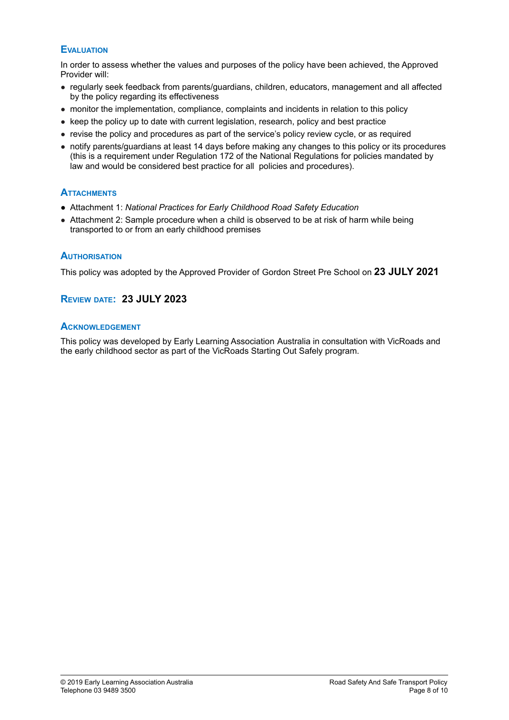# **EVALUATION**

In order to assess whether the values and purposes of the policy have been achieved, the Approved Provider will:

- regularly seek feedback from parents/guardians, children, educators, management and all affected by the policy regarding its effectiveness
- monitor the implementation, compliance, complaints and incidents in relation to this policy
- keep the policy up to date with current legislation, research, policy and best practice
- revise the policy and procedures as part of the service's policy review cycle, or as required
- notify parents/guardians at least 14 days before making any changes to this policy or its procedures (this is a requirement under Regulation 172 of the National Regulations for policies mandated by law and would be considered best practice for all policies and procedures).

## **ATTACHMENTS**

- Attachment 1: *National Practices for Early Childhood Road Safety Education*
- Attachment 2: Sample procedure when a child is observed to be at risk of harm while being transported to or from an early childhood premises

### **AUTHORISATION**

This policy was adopted by the Approved Provider of Gordon Street Pre School on **23 JULY 2021**

# **REVIEW DATE: 23 JULY 2023**

### **ACKNOWLEDGEMENT**

This policy was developed by Early Learning Association Australia in consultation with VicRoads and the early childhood sector as part of the VicRoads Starting Out Safely program.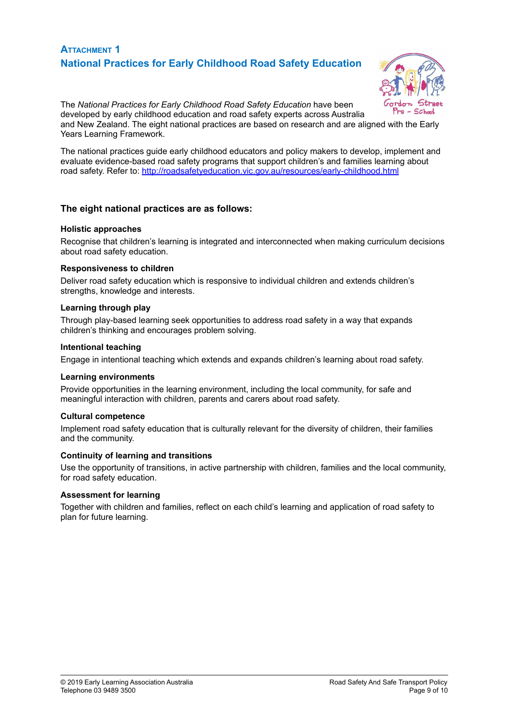# **ATTACHMENT 1 National Practices for Early Childhood Road Safety Education**



The *National Practices for Early Childhood Road Safety Education* have been developed by early childhood education and road safety experts across Australia and New Zealand. The eight national practices are based on research and are aligned with the Early Years Learning Framework.

The national practices guide early childhood educators and policy makers to develop, implement and evaluate evidence-based road safety programs that support children's and families learning about road safety. Refer to: <http://roadsafetyeducation.vic.gov.au/resources/early-childhood.html>

### **The eight national practices are as follows:**

#### **Holistic approaches**

Recognise that children's learning is integrated and interconnected when making curriculum decisions about road safety education.

#### **Responsiveness to children**

Deliver road safety education which is responsive to individual children and extends children's strengths, knowledge and interests.

#### **Learning through play**

Through play-based learning seek opportunities to address road safety in a way that expands children's thinking and encourages problem solving.

#### **Intentional teaching**

Engage in intentional teaching which extends and expands children's learning about road safety.

#### **Learning environments**

Provide opportunities in the learning environment, including the local community, for safe and meaningful interaction with children, parents and carers about road safety.

#### **Cultural competence**

Implement road safety education that is culturally relevant for the diversity of children, their families and the community.

#### **Continuity of learning and transitions**

Use the opportunity of transitions, in active partnership with children, families and the local community, for road safety education.

#### **Assessment for learning**

Together with children and families, reflect on each child's learning and application of road safety to plan for future learning.